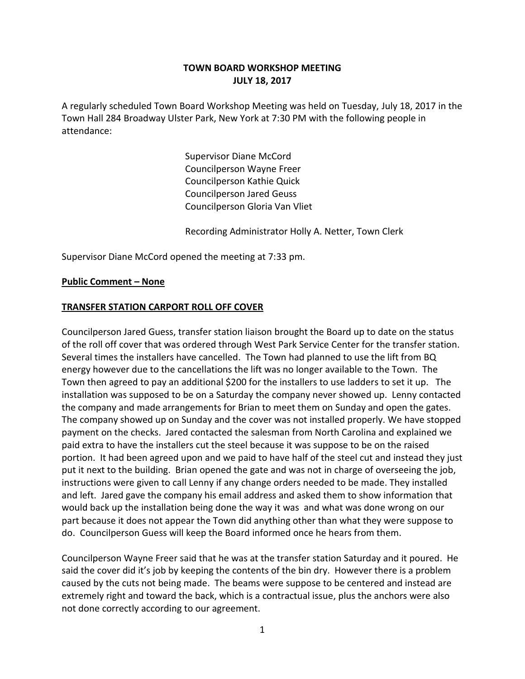# **TOWN BOARD WORKSHOP MEETING JULY 18, 2017**

A regularly scheduled Town Board Workshop Meeting was held on Tuesday, July 18, 2017 in the Town Hall 284 Broadway Ulster Park, New York at 7:30 PM with the following people in attendance:

> Supervisor Diane McCord Councilperson Wayne Freer Councilperson Kathie Quick Councilperson Jared Geuss Councilperson Gloria Van Vliet

Recording Administrator Holly A. Netter, Town Clerk

Supervisor Diane McCord opened the meeting at 7:33 pm.

#### **Public Comment – None**

#### **TRANSFER STATION CARPORT ROLL OFF COVER**

Councilperson Jared Guess, transfer station liaison brought the Board up to date on the status of the roll off cover that was ordered through West Park Service Center for the transfer station. Several times the installers have cancelled. The Town had planned to use the lift from BQ energy however due to the cancellations the lift was no longer available to the Town. The Town then agreed to pay an additional \$200 for the installers to use ladders to set it up. The installation was supposed to be on a Saturday the company never showed up. Lenny contacted the company and made arrangements for Brian to meet them on Sunday and open the gates. The company showed up on Sunday and the cover was not installed properly. We have stopped payment on the checks. Jared contacted the salesman from North Carolina and explained we paid extra to have the installers cut the steel because it was suppose to be on the raised portion. It had been agreed upon and we paid to have half of the steel cut and instead they just put it next to the building. Brian opened the gate and was not in charge of overseeing the job, instructions were given to call Lenny if any change orders needed to be made. They installed and left. Jared gave the company his email address and asked them to show information that would back up the installation being done the way it was and what was done wrong on our part because it does not appear the Town did anything other than what they were suppose to do. Councilperson Guess will keep the Board informed once he hears from them.

Councilperson Wayne Freer said that he was at the transfer station Saturday and it poured. He said the cover did it's job by keeping the contents of the bin dry. However there is a problem caused by the cuts not being made. The beams were suppose to be centered and instead are extremely right and toward the back, which is a contractual issue, plus the anchors were also not done correctly according to our agreement.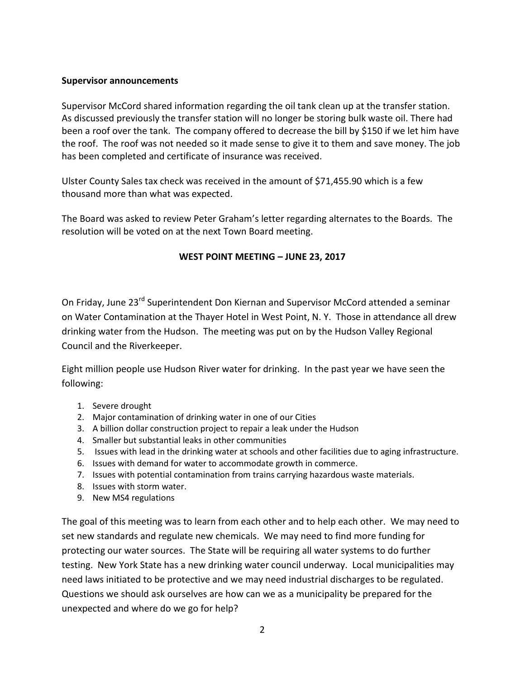#### **Supervisor announcements**

Supervisor McCord shared information regarding the oil tank clean up at the transfer station. As discussed previously the transfer station will no longer be storing bulk waste oil. There had been a roof over the tank. The company offered to decrease the bill by \$150 if we let him have the roof. The roof was not needed so it made sense to give it to them and save money. The job has been completed and certificate of insurance was received.

Ulster County Sales tax check was received in the amount of \$71,455.90 which is a few thousand more than what was expected.

The Board was asked to review Peter Graham's letter regarding alternates to the Boards. The resolution will be voted on at the next Town Board meeting.

# **WEST POINT MEETING – JUNE 23, 2017**

On Friday, June 23<sup>rd</sup> Superintendent Don Kiernan and Supervisor McCord attended a seminar on Water Contamination at the Thayer Hotel in West Point, N. Y. Those in attendance all drew drinking water from the Hudson. The meeting was put on by the Hudson Valley Regional Council and the Riverkeeper.

Eight million people use Hudson River water for drinking. In the past year we have seen the following:

- 1. Severe drought
- 2. Major contamination of drinking water in one of our Cities
- 3. A billion dollar construction project to repair a leak under the Hudson
- 4. Smaller but substantial leaks in other communities
- 5. Issues with lead in the drinking water at schools and other facilities due to aging infrastructure.
- 6. Issues with demand for water to accommodate growth in commerce.
- 7. Issues with potential contamination from trains carrying hazardous waste materials.
- 8. Issues with storm water.
- 9. New MS4 regulations

The goal of this meeting was to learn from each other and to help each other. We may need to set new standards and regulate new chemicals. We may need to find more funding for protecting our water sources. The State will be requiring all water systems to do further testing. New York State has a new drinking water council underway. Local municipalities may need laws initiated to be protective and we may need industrial discharges to be regulated. Questions we should ask ourselves are how can we as a municipality be prepared for the unexpected and where do we go for help?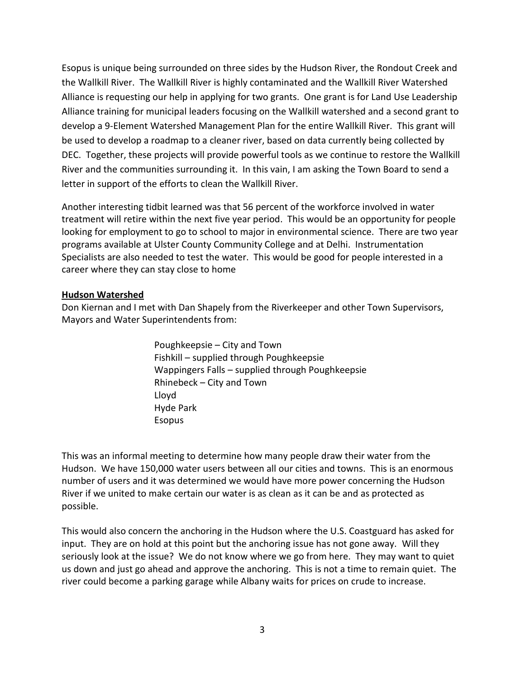Esopus is unique being surrounded on three sides by the Hudson River, the Rondout Creek and the Wallkill River. The Wallkill River is highly contaminated and the Wallkill River Watershed Alliance is requesting our help in applying for two grants. One grant is for Land Use Leadership Alliance training for municipal leaders focusing on the Wallkill watershed and a second grant to develop a 9-Element Watershed Management Plan for the entire Wallkill River. This grant will be used to develop a roadmap to a cleaner river, based on data currently being collected by DEC. Together, these projects will provide powerful tools as we continue to restore the Wallkill River and the communities surrounding it. In this vain, I am asking the Town Board to send a letter in support of the efforts to clean the Wallkill River.

Another interesting tidbit learned was that 56 percent of the workforce involved in water treatment will retire within the next five year period. This would be an opportunity for people looking for employment to go to school to major in environmental science. There are two year programs available at Ulster County Community College and at Delhi. Instrumentation Specialists are also needed to test the water. This would be good for people interested in a career where they can stay close to home

#### **Hudson Watershed**

Don Kiernan and I met with Dan Shapely from the Riverkeeper and other Town Supervisors, Mayors and Water Superintendents from:

> Poughkeepsie – City and Town Fishkill – supplied through Poughkeepsie Wappingers Falls – supplied through Poughkeepsie Rhinebeck – City and Town Lloyd Hyde Park Esopus

This was an informal meeting to determine how many people draw their water from the Hudson. We have 150,000 water users between all our cities and towns. This is an enormous number of users and it was determined we would have more power concerning the Hudson River if we united to make certain our water is as clean as it can be and as protected as possible.

This would also concern the anchoring in the Hudson where the U.S. Coastguard has asked for input. They are on hold at this point but the anchoring issue has not gone away. Will they seriously look at the issue? We do not know where we go from here. They may want to quiet us down and just go ahead and approve the anchoring. This is not a time to remain quiet. The river could become a parking garage while Albany waits for prices on crude to increase.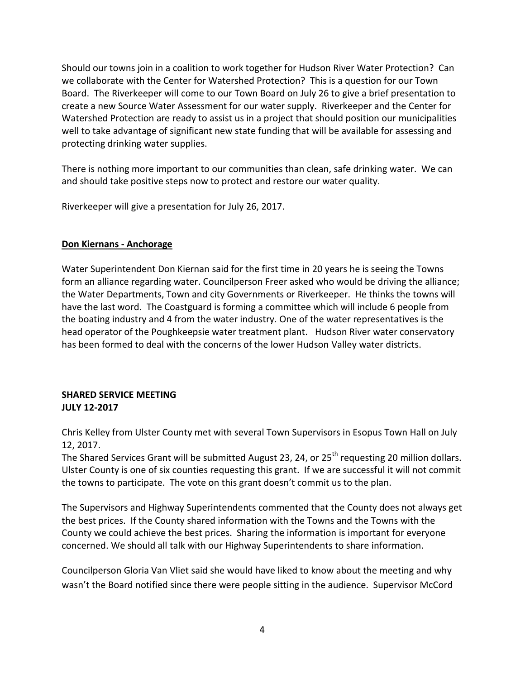Should our towns join in a coalition to work together for Hudson River Water Protection? Can we collaborate with the Center for Watershed Protection? This is a question for our Town Board. The Riverkeeper will come to our Town Board on July 26 to give a brief presentation to create a new Source Water Assessment for our water supply. Riverkeeper and the Center for Watershed Protection are ready to assist us in a project that should position our municipalities well to take advantage of significant new state funding that will be available for assessing and protecting drinking water supplies.

There is nothing more important to our communities than clean, safe drinking water. We can and should take positive steps now to protect and restore our water quality.

Riverkeeper will give a presentation for July 26, 2017.

#### **Don Kiernans - Anchorage**

Water Superintendent Don Kiernan said for the first time in 20 years he is seeing the Towns form an alliance regarding water. Councilperson Freer asked who would be driving the alliance; the Water Departments, Town and city Governments or Riverkeeper. He thinks the towns will have the last word. The Coastguard is forming a committee which will include 6 people from the boating industry and 4 from the water industry. One of the water representatives is the head operator of the Poughkeepsie water treatment plant. Hudson River water conservatory has been formed to deal with the concerns of the lower Hudson Valley water districts.

# **SHARED SERVICE MEETING JULY 12-2017**

Chris Kelley from Ulster County met with several Town Supervisors in Esopus Town Hall on July 12, 2017.

The Shared Services Grant will be submitted August 23, 24, or 25<sup>th</sup> requesting 20 million dollars. Ulster County is one of six counties requesting this grant. If we are successful it will not commit the towns to participate. The vote on this grant doesn't commit us to the plan.

The Supervisors and Highway Superintendents commented that the County does not always get the best prices. If the County shared information with the Towns and the Towns with the County we could achieve the best prices. Sharing the information is important for everyone concerned. We should all talk with our Highway Superintendents to share information.

Councilperson Gloria Van Vliet said she would have liked to know about the meeting and why wasn't the Board notified since there were people sitting in the audience. Supervisor McCord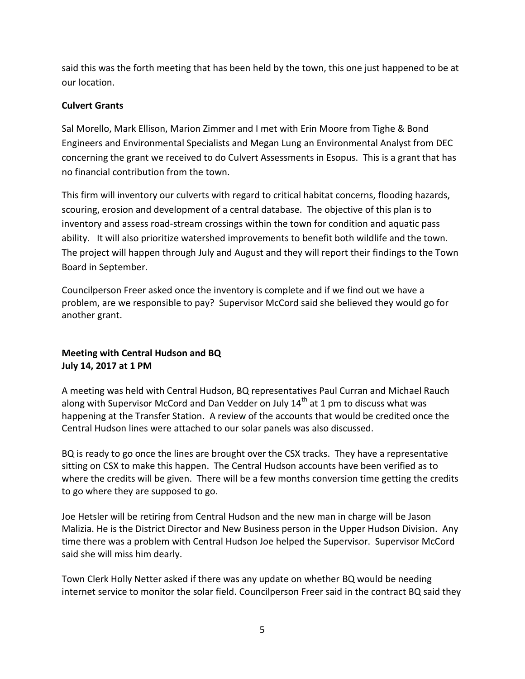said this was the forth meeting that has been held by the town, this one just happened to be at our location.

# **Culvert Grants**

Sal Morello, Mark Ellison, Marion Zimmer and I met with Erin Moore from Tighe & Bond Engineers and Environmental Specialists and Megan Lung an Environmental Analyst from DEC concerning the grant we received to do Culvert Assessments in Esopus. This is a grant that has no financial contribution from the town.

This firm will inventory our culverts with regard to critical habitat concerns, flooding hazards, scouring, erosion and development of a central database. The objective of this plan is to inventory and assess road-stream crossings within the town for condition and aquatic pass ability. It will also prioritize watershed improvements to benefit both wildlife and the town. The project will happen through July and August and they will report their findings to the Town Board in September.

Councilperson Freer asked once the inventory is complete and if we find out we have a problem, are we responsible to pay? Supervisor McCord said she believed they would go for another grant.

# **Meeting with Central Hudson and BQ July 14, 2017 at 1 PM**

A meeting was held with Central Hudson, BQ representatives Paul Curran and Michael Rauch along with Supervisor McCord and Dan Vedder on July  $14<sup>th</sup>$  at 1 pm to discuss what was happening at the Transfer Station. A review of the accounts that would be credited once the Central Hudson lines were attached to our solar panels was also discussed.

BQ is ready to go once the lines are brought over the CSX tracks. They have a representative sitting on CSX to make this happen. The Central Hudson accounts have been verified as to where the credits will be given. There will be a few months conversion time getting the credits to go where they are supposed to go.

Joe Hetsler will be retiring from Central Hudson and the new man in charge will be Jason Malizia. He is the District Director and New Business person in the Upper Hudson Division. Any time there was a problem with Central Hudson Joe helped the Supervisor. Supervisor McCord said she will miss him dearly.

Town Clerk Holly Netter asked if there was any update on whether BQ would be needing internet service to monitor the solar field. Councilperson Freer said in the contract BQ said they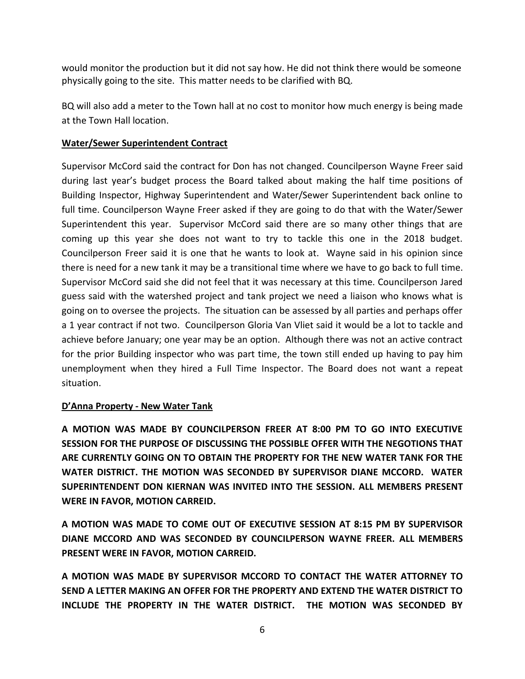would monitor the production but it did not say how. He did not think there would be someone physically going to the site. This matter needs to be clarified with BQ.

BQ will also add a meter to the Town hall at no cost to monitor how much energy is being made at the Town Hall location.

# **Water/Sewer Superintendent Contract**

Supervisor McCord said the contract for Don has not changed. Councilperson Wayne Freer said during last year's budget process the Board talked about making the half time positions of Building Inspector, Highway Superintendent and Water/Sewer Superintendent back online to full time. Councilperson Wayne Freer asked if they are going to do that with the Water/Sewer Superintendent this year. Supervisor McCord said there are so many other things that are coming up this year she does not want to try to tackle this one in the 2018 budget. Councilperson Freer said it is one that he wants to look at. Wayne said in his opinion since there is need for a new tank it may be a transitional time where we have to go back to full time. Supervisor McCord said she did not feel that it was necessary at this time. Councilperson Jared guess said with the watershed project and tank project we need a liaison who knows what is going on to oversee the projects. The situation can be assessed by all parties and perhaps offer a 1 year contract if not two. Councilperson Gloria Van Vliet said it would be a lot to tackle and achieve before January; one year may be an option. Although there was not an active contract for the prior Building inspector who was part time, the town still ended up having to pay him unemployment when they hired a Full Time Inspector. The Board does not want a repeat situation.

# **D'Anna Property - New Water Tank**

**A MOTION WAS MADE BY COUNCILPERSON FREER AT 8:00 PM TO GO INTO EXECUTIVE SESSION FOR THE PURPOSE OF DISCUSSING THE POSSIBLE OFFER WITH THE NEGOTIONS THAT ARE CURRENTLY GOING ON TO OBTAIN THE PROPERTY FOR THE NEW WATER TANK FOR THE WATER DISTRICT. THE MOTION WAS SECONDED BY SUPERVISOR DIANE MCCORD. WATER SUPERINTENDENT DON KIERNAN WAS INVITED INTO THE SESSION. ALL MEMBERS PRESENT WERE IN FAVOR, MOTION CARREID.**

**A MOTION WAS MADE TO COME OUT OF EXECUTIVE SESSION AT 8:15 PM BY SUPERVISOR DIANE MCCORD AND WAS SECONDED BY COUNCILPERSON WAYNE FREER. ALL MEMBERS PRESENT WERE IN FAVOR, MOTION CARREID.**

**A MOTION WAS MADE BY SUPERVISOR MCCORD TO CONTACT THE WATER ATTORNEY TO SEND A LETTER MAKING AN OFFER FOR THE PROPERTY AND EXTEND THE WATER DISTRICT TO INCLUDE THE PROPERTY IN THE WATER DISTRICT. THE MOTION WAS SECONDED BY**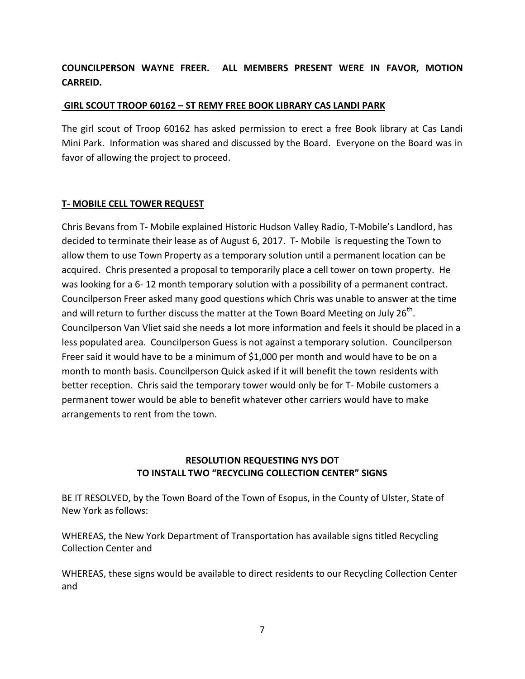# **COUNCILPERSON WAYNE FREER. ALL MEMBERS PRESENT WERE IN FAVOR, MOTION CARREID.**

#### **GIRL SCOUT TROOP 60162 – ST REMY FREE BOOK LIBRARY CAS LANDI PARK**

The girl scout of Troop 60162 has asked permission to erect a free Book library at Cas Landi Mini Park. Information was shared and discussed by the Board. Everyone on the Board was in favor of allowing the project to proceed.

#### **T- MOBILE CELL TOWER REQUEST**

Chris Bevans from T- Mobile explained Historic Hudson Valley Radio, T-Mobile's Landlord, has decided to terminate their lease as of August 6, 2017. T- Mobile is requesting the Town to allow them to use Town Property as a temporary solution until a permanent location can be acquired. Chris presented a proposal to temporarily place a cell tower on town property. He was looking for a 6- 12 month temporary solution with a possibility of a permanent contract. Councilperson Freer asked many good questions which Chris was unable to answer at the time and will return to further discuss the matter at the Town Board Meeting on July 26<sup>th</sup>. Councilperson Van Vliet said she needs a lot more information and feels it should be placed in a less populated area. Councilperson Guess is not against a temporary solution. Councilperson Freer said it would have to be a minimum of \$1,000 per month and would have to be on a month to month basis. Councilperson Quick asked if it will benefit the town residents with better reception. Chris said the temporary tower would only be for T- Mobile customers a permanent tower would be able to benefit whatever other carriers would have to make arrangements to rent from the town.

# **RESOLUTION REQUESTING NYS DOT TO INSTALL TWO "RECYCLING COLLECTION CENTER" SIGNS**

BE IT RESOLVED, by the Town Board of the Town of Esopus, in the County of Ulster, State of New York as follows:

WHEREAS, the New York Department of Transportation has available signs titled Recycling Collection Center and

WHEREAS, these signs would be available to direct residents to our Recycling Collection Center and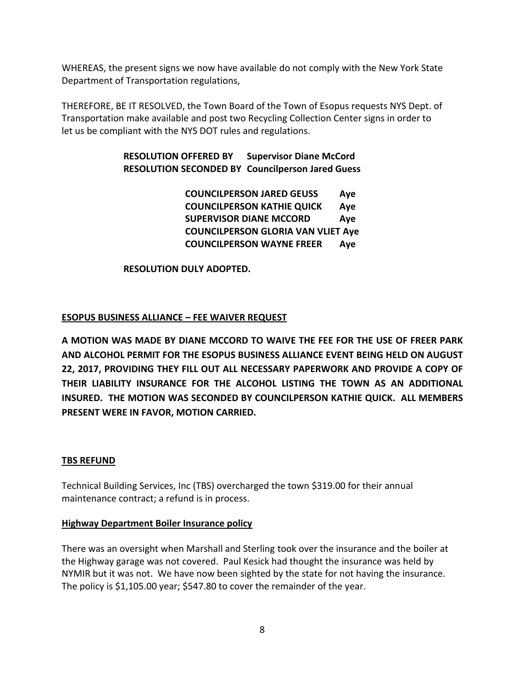WHEREAS, the present signs we now have available do not comply with the New York State Department of Transportation regulations,

THEREFORE, BE IT RESOLVED, the Town Board of the Town of Esopus requests NYS Dept. of Transportation make available and post two Recycling Collection Center signs in order to let us be compliant with the NYS DOT rules and regulations.

> **RESOLUTION OFFERED BY Supervisor Diane McCord RESOLUTION SECONDED BY Councilperson Jared Guess**

> > **COUNCILPERSON JARED GEUSS Aye COUNCILPERSON KATHIE QUICK Aye SUPERVISOR DIANE MCCORD Aye COUNCILPERSON GLORIA VAN VLIET Aye COUNCILPERSON WAYNE FREER Aye**

**RESOLUTION DULY ADOPTED.**

# **ESOPUS BUSINESS ALLIANCE – FEE WAIVER REQUEST**

**A MOTION WAS MADE BY DIANE MCCORD TO WAIVE THE FEE FOR THE USE OF FREER PARK AND ALCOHOL PERMIT FOR THE ESOPUS BUSINESS ALLIANCE EVENT BEING HELD ON AUGUST 22, 2017, PROVIDING THEY FILL OUT ALL NECESSARY PAPERWORK AND PROVIDE A COPY OF THEIR LIABILITY INSURANCE FOR THE ALCOHOL LISTING THE TOWN AS AN ADDITIONAL INSURED. THE MOTION WAS SECONDED BY COUNCILPERSON KATHIE QUICK. ALL MEMBERS PRESENT WERE IN FAVOR, MOTION CARRIED.** 

#### **TBS REFUND**

Technical Building Services, Inc (TBS) overcharged the town \$319.00 for their annual maintenance contract; a refund is in process.

#### **Highway Department Boiler Insurance policy**

There was an oversight when Marshall and Sterling took over the insurance and the boiler at the Highway garage was not covered. Paul Kesick had thought the insurance was held by NYMIR but it was not. We have now been sighted by the state for not having the insurance. The policy is \$1,105.00 year; \$547.80 to cover the remainder of the year.